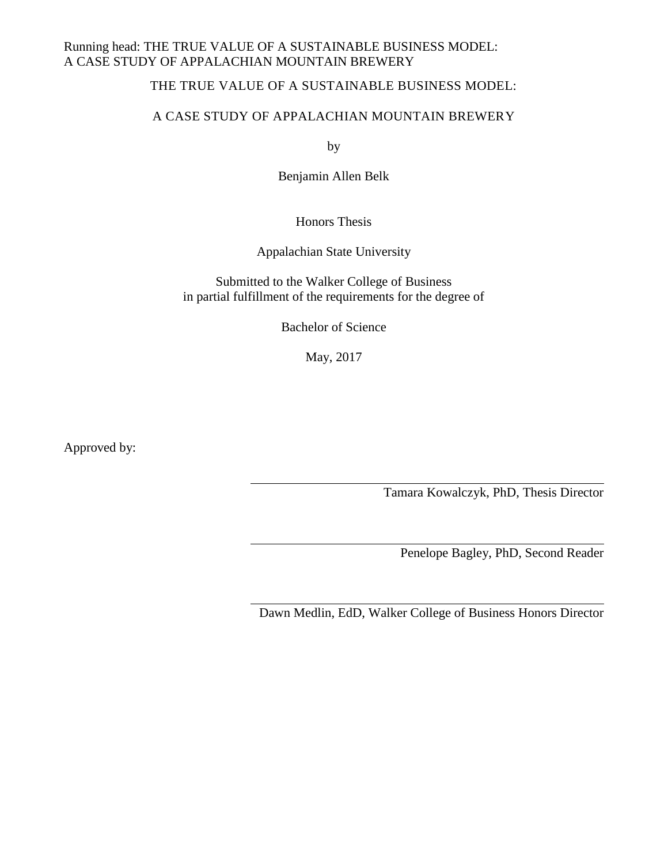# THE TRUE VALUE OF A SUSTAINABLE BUSINESS MODEL:

## A CASE STUDY OF APPALACHIAN MOUNTAIN BREWERY

by

Benjamin Allen Belk

Honors Thesis

Appalachian State University

Submitted to the Walker College of Business in partial fulfillment of the requirements for the degree of

Bachelor of Science

May, 2017

Approved by:

Tamara Kowalczyk, PhD, Thesis Director

Penelope Bagley, PhD, Second Reader

Dawn Medlin, EdD, Walker College of Business Honors Director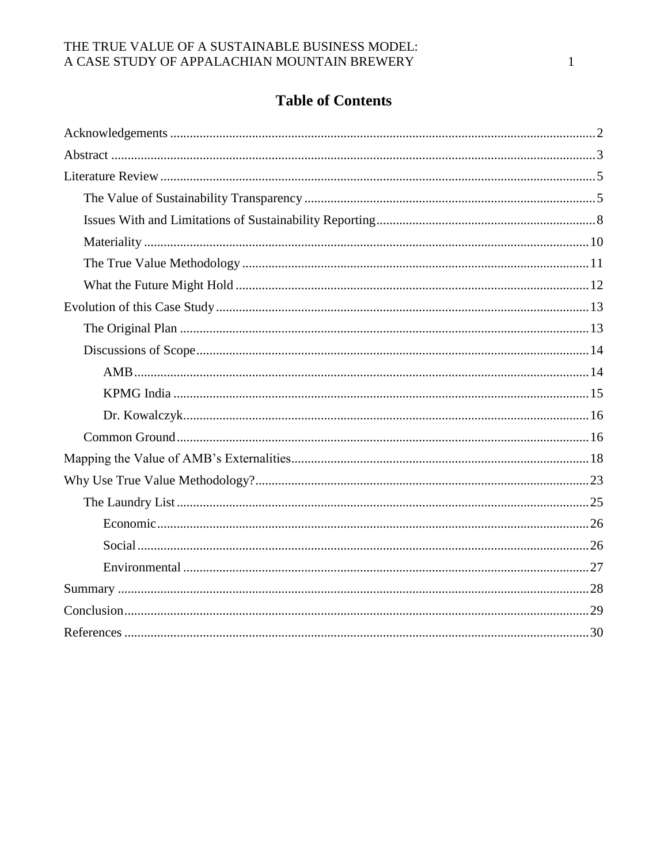# **Table of Contents**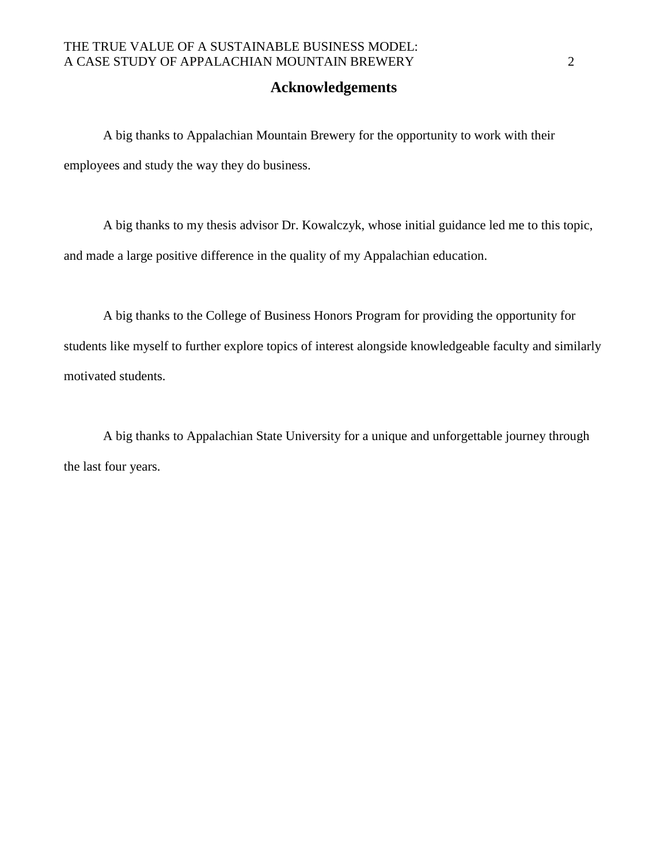### **Acknowledgements**

A big thanks to Appalachian Mountain Brewery for the opportunity to work with their employees and study the way they do business.

A big thanks to my thesis advisor Dr. Kowalczyk, whose initial guidance led me to this topic, and made a large positive difference in the quality of my Appalachian education.

A big thanks to the College of Business Honors Program for providing the opportunity for students like myself to further explore topics of interest alongside knowledgeable faculty and similarly motivated students.

A big thanks to Appalachian State University for a unique and unforgettable journey through the last four years.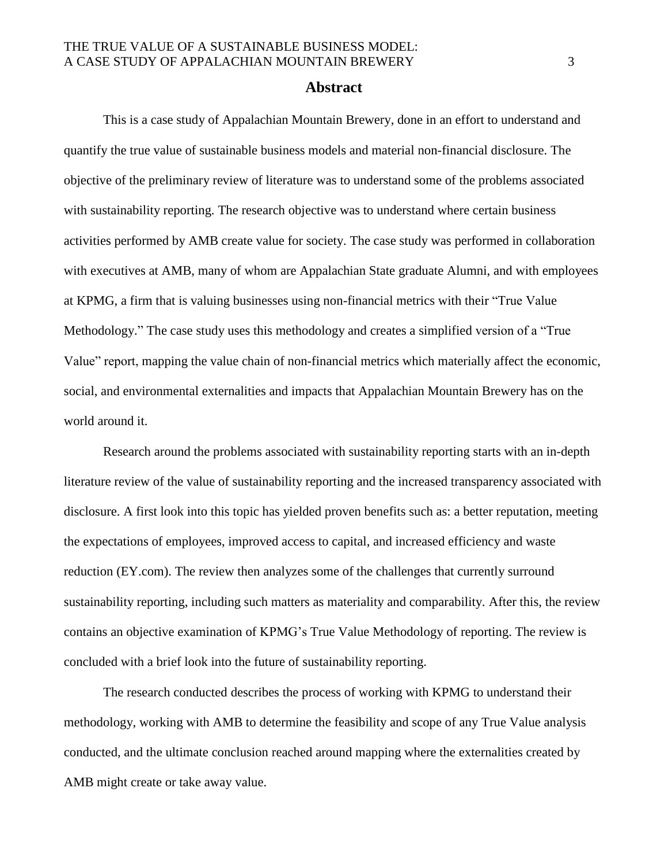#### **Abstract**

This is a case study of Appalachian Mountain Brewery, done in an effort to understand and quantify the true value of sustainable business models and material non-financial disclosure. The objective of the preliminary review of literature was to understand some of the problems associated with sustainability reporting. The research objective was to understand where certain business activities performed by AMB create value for society. The case study was performed in collaboration with executives at AMB, many of whom are Appalachian State graduate Alumni, and with employees at KPMG, a firm that is valuing businesses using non-financial metrics with their "True Value Methodology." The case study uses this methodology and creates a simplified version of a "True Value" report, mapping the value chain of non-financial metrics which materially affect the economic, social, and environmental externalities and impacts that Appalachian Mountain Brewery has on the world around it.

Research around the problems associated with sustainability reporting starts with an in-depth literature review of the value of sustainability reporting and the increased transparency associated with disclosure. A first look into this topic has yielded proven benefits such as: a better reputation, meeting the expectations of employees, improved access to capital, and increased efficiency and waste reduction (EY.com). The review then analyzes some of the challenges that currently surround sustainability reporting, including such matters as materiality and comparability. After this, the review contains an objective examination of KPMG's True Value Methodology of reporting. The review is concluded with a brief look into the future of sustainability reporting.

The research conducted describes the process of working with KPMG to understand their methodology, working with AMB to determine the feasibility and scope of any True Value analysis conducted, and the ultimate conclusion reached around mapping where the externalities created by AMB might create or take away value.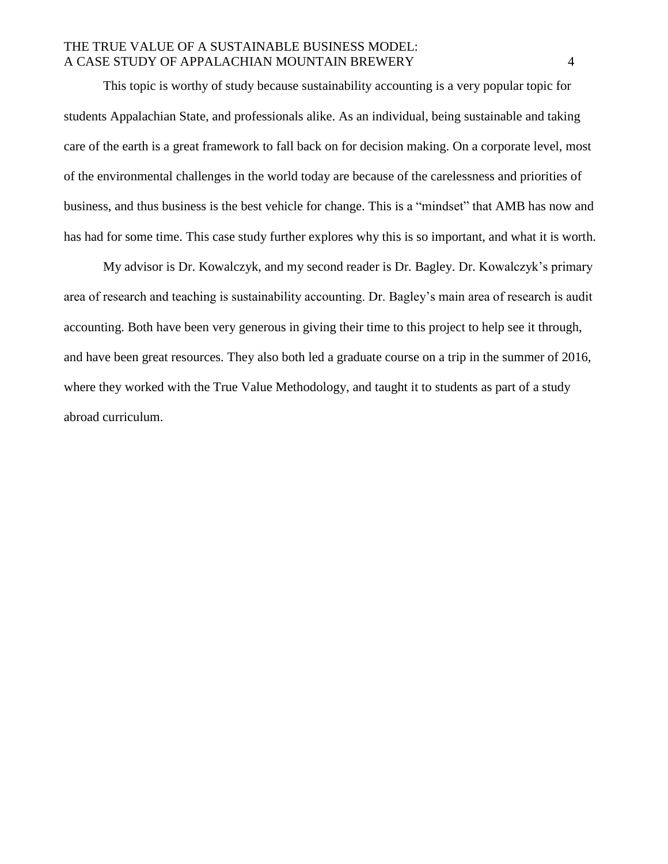This topic is worthy of study because sustainability accounting is a very popular topic for students Appalachian State, and professionals alike. As an individual, being sustainable and taking care of the earth is a great framework to fall back on for decision making. On a corporate level, most of the environmental challenges in the world today are because of the carelessness and priorities of business, and thus business is the best vehicle for change. This is a "mindset" that AMB has now and has had for some time. This case study further explores why this is so important, and what it is worth.

My advisor is Dr. Kowalczyk, and my second reader is Dr. Bagley. Dr. Kowalczyk's primary area of research and teaching is sustainability accounting. Dr. Bagley's main area of research is audit accounting. Both have been very generous in giving their time to this project to help see it through, and have been great resources. They also both led a graduate course on a trip in the summer of 2016, where they worked with the True Value Methodology, and taught it to students as part of a study abroad curriculum.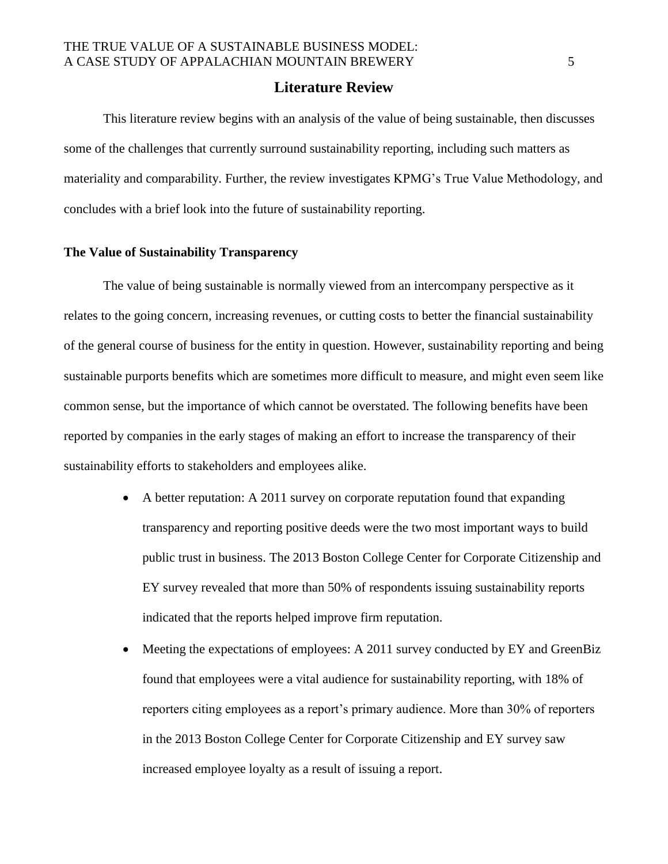#### **Literature Review**

This literature review begins with an analysis of the value of being sustainable, then discusses some of the challenges that currently surround sustainability reporting, including such matters as materiality and comparability. Further, the review investigates KPMG's True Value Methodology, and concludes with a brief look into the future of sustainability reporting.

#### **The Value of Sustainability Transparency**

The value of being sustainable is normally viewed from an intercompany perspective as it relates to the going concern, increasing revenues, or cutting costs to better the financial sustainability of the general course of business for the entity in question. However, sustainability reporting and being sustainable purports benefits which are sometimes more difficult to measure, and might even seem like common sense, but the importance of which cannot be overstated. The following benefits have been reported by companies in the early stages of making an effort to increase the transparency of their sustainability efforts to stakeholders and employees alike.

- A better reputation: A 2011 survey on corporate reputation found that expanding transparency and reporting positive deeds were the two most important ways to build public trust in business. The 2013 Boston College Center for Corporate Citizenship and EY survey revealed that more than 50% of respondents issuing sustainability reports indicated that the reports helped improve firm reputation.
- Meeting the expectations of employees: A 2011 survey conducted by EY and GreenBiz found that employees were a vital audience for sustainability reporting, with 18% of reporters citing employees as a report's primary audience. More than 30% of reporters in the 2013 Boston College Center for Corporate Citizenship and EY survey saw increased employee loyalty as a result of issuing a report.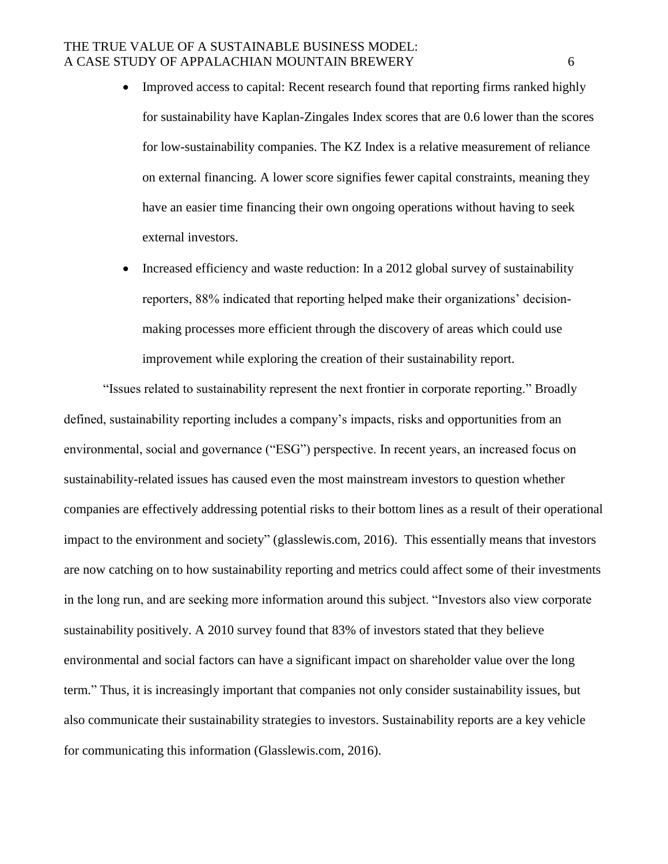- Improved access to capital: Recent research found that reporting firms ranked highly for sustainability have Kaplan-Zingales Index scores that are 0.6 lower than the scores for low-sustainability companies. The KZ Index is a relative measurement of reliance on external financing. A lower score signifies fewer capital constraints, meaning they have an easier time financing their own ongoing operations without having to seek external investors.
- Increased efficiency and waste reduction: In a 2012 global survey of sustainability reporters, 88% indicated that reporting helped make their organizations' decisionmaking processes more efficient through the discovery of areas which could use improvement while exploring the creation of their sustainability report.

"Issues related to sustainability represent the next frontier in corporate reporting." Broadly defined, sustainability reporting includes a company's impacts, risks and opportunities from an environmental, social and governance ("ESG") perspective. In recent years, an increased focus on sustainability-related issues has caused even the most mainstream investors to question whether companies are effectively addressing potential risks to their bottom lines as a result of their operational impact to the environment and society" (glasslewis.com, 2016). This essentially means that investors are now catching on to how sustainability reporting and metrics could affect some of their investments in the long run, and are seeking more information around this subject. "Investors also view corporate sustainability positively. A 2010 survey found that 83% of investors stated that they believe environmental and social factors can have a significant impact on shareholder value over the long term." Thus, it is increasingly important that companies not only consider sustainability issues, but also communicate their sustainability strategies to investors. Sustainability reports are a key vehicle for communicating this information (Glasslewis.com, 2016).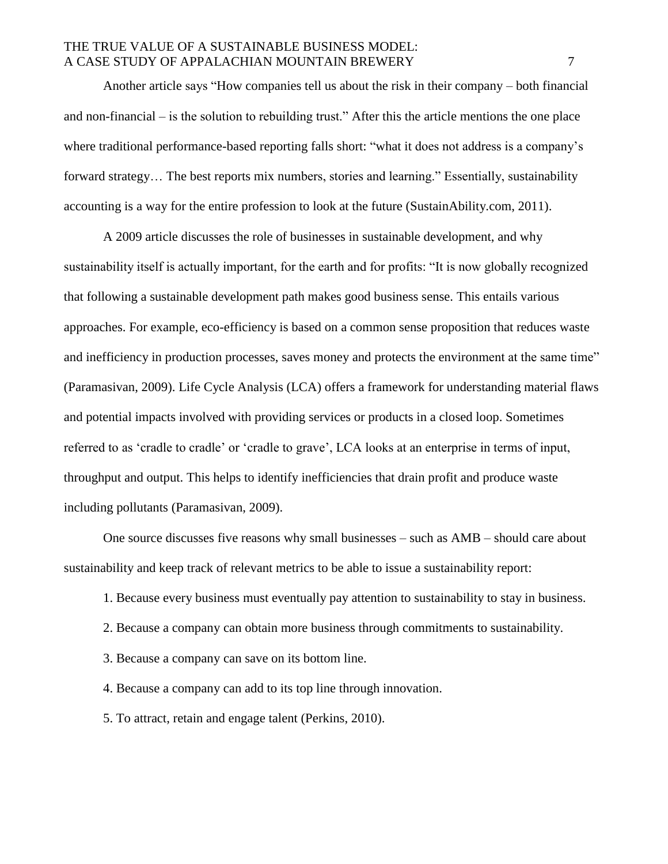Another article says "How companies tell us about the risk in their company – both financial and non-financial – is the solution to rebuilding trust." After this the article mentions the one place where traditional performance-based reporting falls short: "what it does not address is a company's forward strategy… The best reports mix numbers, stories and learning." Essentially, sustainability accounting is a way for the entire profession to look at the future (SustainAbility.com, 2011).

A 2009 article discusses the role of businesses in sustainable development, and why sustainability itself is actually important, for the earth and for profits: "It is now globally recognized that following a sustainable development path makes good business sense. This entails various approaches. For example, eco-efficiency is based on a common sense proposition that reduces waste and inefficiency in production processes, saves money and protects the environment at the same time" (Paramasivan, 2009). Life Cycle Analysis (LCA) offers a framework for understanding material flaws and potential impacts involved with providing services or products in a closed loop. Sometimes referred to as 'cradle to cradle' or 'cradle to grave', LCA looks at an enterprise in terms of input, throughput and output. This helps to identify inefficiencies that drain profit and produce waste including pollutants (Paramasivan, 2009).

One source discusses five reasons why small businesses – such as AMB – should care about sustainability and keep track of relevant metrics to be able to issue a sustainability report:

- 1. Because every business must eventually pay attention to sustainability to stay in business.
- 2. Because a company can obtain more business through commitments to sustainability.
- 3. Because a company can save on its bottom line.
- 4. Because a company can add to its top line through innovation.
- 5. To attract, retain and engage talent (Perkins, 2010).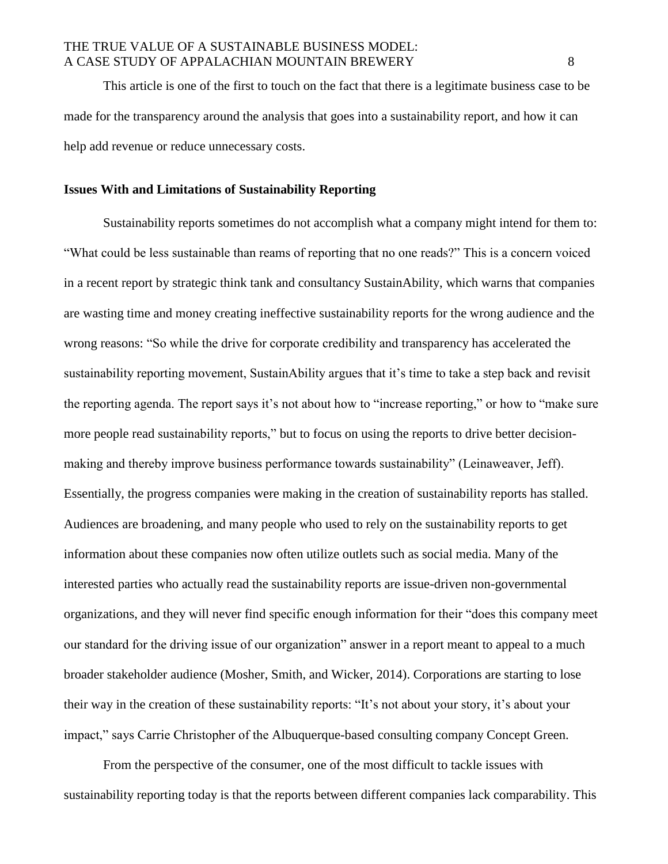This article is one of the first to touch on the fact that there is a legitimate business case to be made for the transparency around the analysis that goes into a sustainability report, and how it can help add revenue or reduce unnecessary costs.

#### **Issues With and Limitations of Sustainability Reporting**

Sustainability reports sometimes do not accomplish what a company might intend for them to: "What could be less sustainable than reams of reporting that no one reads?" This is a concern voiced in a recent report by strategic think tank and consultancy SustainAbility, which warns that companies are wasting time and money creating ineffective sustainability reports for the wrong audience and the wrong reasons: "So while the drive for corporate credibility and transparency has accelerated the sustainability reporting movement, SustainAbility argues that it's time to take a step back and revisit the reporting agenda. The report says it's not about how to "increase reporting," or how to "make sure more people read sustainability reports," but to focus on using the reports to drive better decisionmaking and thereby improve business performance towards sustainability" (Leinaweaver, Jeff). Essentially, the progress companies were making in the creation of sustainability reports has stalled. Audiences are broadening, and many people who used to rely on the sustainability reports to get information about these companies now often utilize outlets such as social media. Many of the interested parties who actually read the sustainability reports are issue-driven non-governmental organizations, and they will never find specific enough information for their "does this company meet our standard for the driving issue of our organization" answer in a report meant to appeal to a much broader stakeholder audience (Mosher, Smith, and Wicker, 2014). Corporations are starting to lose their way in the creation of these sustainability reports: "It's not about your story, it's about your impact," says Carrie Christopher of the Albuquerque-based consulting company Concept Green.

From the perspective of the consumer, one of the most difficult to tackle issues with sustainability reporting today is that the reports between different companies lack comparability. This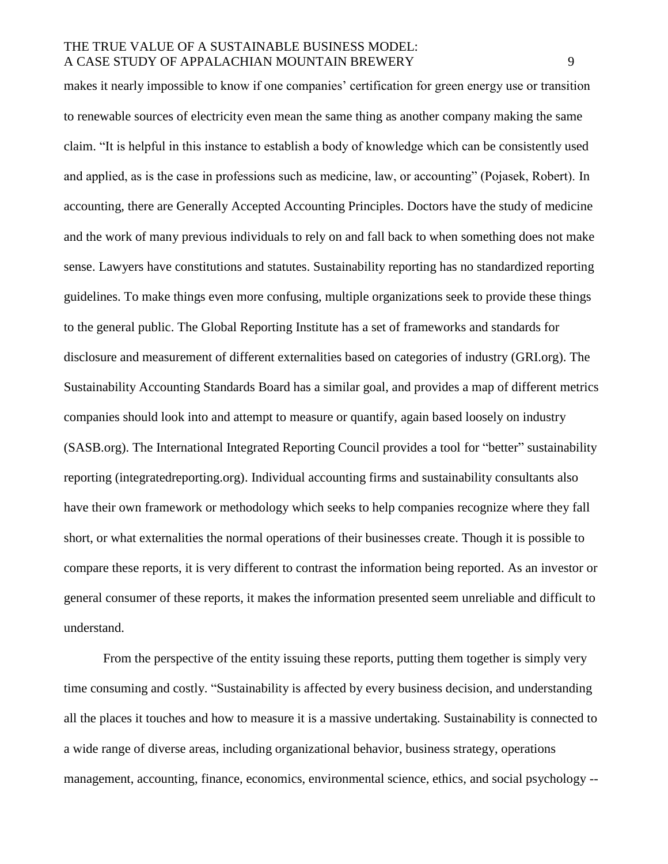makes it nearly impossible to know if one companies' certification for green energy use or transition to renewable sources of electricity even mean the same thing as another company making the same claim. "It is helpful in this instance to establish a body of knowledge which can be consistently used and applied, as is the case in professions such as medicine, law, or accounting" (Pojasek, Robert). In accounting, there are Generally Accepted Accounting Principles. Doctors have the study of medicine and the work of many previous individuals to rely on and fall back to when something does not make sense. Lawyers have constitutions and statutes. Sustainability reporting has no standardized reporting guidelines. To make things even more confusing, multiple organizations seek to provide these things to the general public. The Global Reporting Institute has a set of frameworks and standards for disclosure and measurement of different externalities based on categories of industry (GRI.org). The Sustainability Accounting Standards Board has a similar goal, and provides a map of different metrics companies should look into and attempt to measure or quantify, again based loosely on industry (SASB.org). The International Integrated Reporting Council provides a tool for "better" sustainability reporting (integratedreporting.org). Individual accounting firms and sustainability consultants also have their own framework or methodology which seeks to help companies recognize where they fall short, or what externalities the normal operations of their businesses create. Though it is possible to compare these reports, it is very different to contrast the information being reported. As an investor or general consumer of these reports, it makes the information presented seem unreliable and difficult to understand.

From the perspective of the entity issuing these reports, putting them together is simply very time consuming and costly. "Sustainability is affected by every business decision, and understanding all the places it touches and how to measure it is a massive undertaking. Sustainability is connected to a wide range of diverse areas, including organizational behavior, business strategy, operations management, accounting, finance, economics, environmental science, ethics, and social psychology --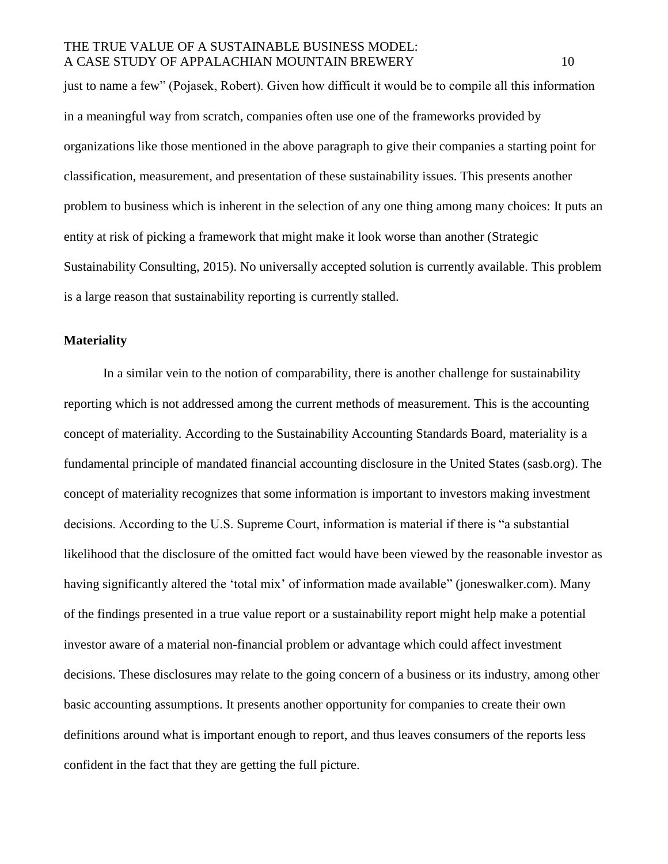just to name a few" (Pojasek, Robert). Given how difficult it would be to compile all this information in a meaningful way from scratch, companies often use one of the frameworks provided by organizations like those mentioned in the above paragraph to give their companies a starting point for classification, measurement, and presentation of these sustainability issues. This presents another problem to business which is inherent in the selection of any one thing among many choices: It puts an entity at risk of picking a framework that might make it look worse than another (Strategic Sustainability Consulting, 2015). No universally accepted solution is currently available. This problem is a large reason that sustainability reporting is currently stalled.

#### **Materiality**

In a similar vein to the notion of comparability, there is another challenge for sustainability reporting which is not addressed among the current methods of measurement. This is the accounting concept of materiality. According to the Sustainability Accounting Standards Board, materiality is a fundamental principle of mandated financial accounting disclosure in the United States (sasb.org). The concept of materiality recognizes that some information is important to investors making investment decisions. According to the U.S. Supreme Court, information is material if there is "a substantial likelihood that the disclosure of the omitted fact would have been viewed by the reasonable investor as having significantly altered the 'total mix' of information made available" (joneswalker.com). Many of the findings presented in a true value report or a sustainability report might help make a potential investor aware of a material non-financial problem or advantage which could affect investment decisions. These disclosures may relate to the going concern of a business or its industry, among other basic accounting assumptions. It presents another opportunity for companies to create their own definitions around what is important enough to report, and thus leaves consumers of the reports less confident in the fact that they are getting the full picture.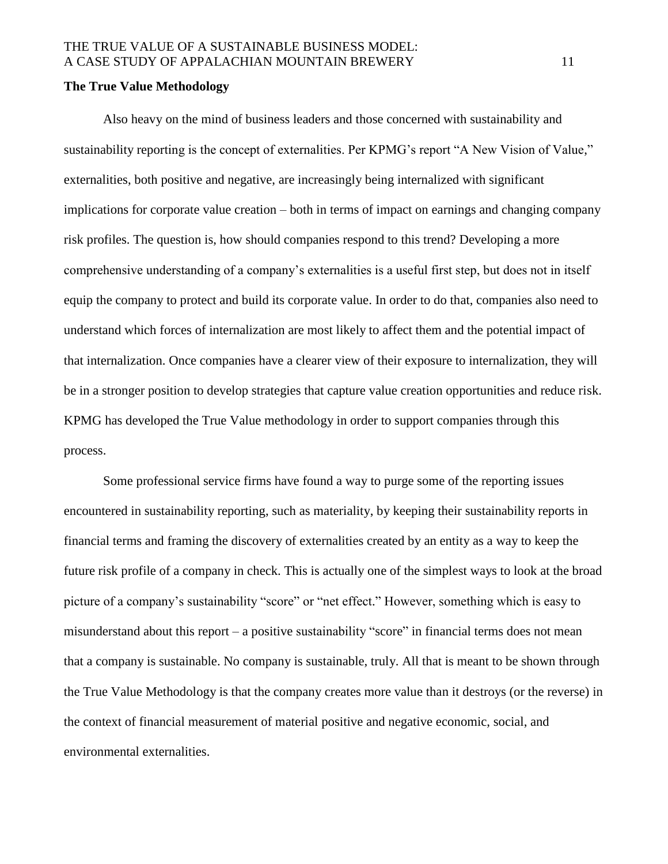#### **The True Value Methodology**

Also heavy on the mind of business leaders and those concerned with sustainability and sustainability reporting is the concept of externalities. Per KPMG's report "A New Vision of Value," externalities, both positive and negative, are increasingly being internalized with significant implications for corporate value creation – both in terms of impact on earnings and changing company risk profiles. The question is, how should companies respond to this trend? Developing a more comprehensive understanding of a company's externalities is a useful first step, but does not in itself equip the company to protect and build its corporate value. In order to do that, companies also need to understand which forces of internalization are most likely to affect them and the potential impact of that internalization. Once companies have a clearer view of their exposure to internalization, they will be in a stronger position to develop strategies that capture value creation opportunities and reduce risk. KPMG has developed the True Value methodology in order to support companies through this process.

Some professional service firms have found a way to purge some of the reporting issues encountered in sustainability reporting, such as materiality, by keeping their sustainability reports in financial terms and framing the discovery of externalities created by an entity as a way to keep the future risk profile of a company in check. This is actually one of the simplest ways to look at the broad picture of a company's sustainability "score" or "net effect." However, something which is easy to misunderstand about this report – a positive sustainability "score" in financial terms does not mean that a company is sustainable. No company is sustainable, truly. All that is meant to be shown through the True Value Methodology is that the company creates more value than it destroys (or the reverse) in the context of financial measurement of material positive and negative economic, social, and environmental externalities.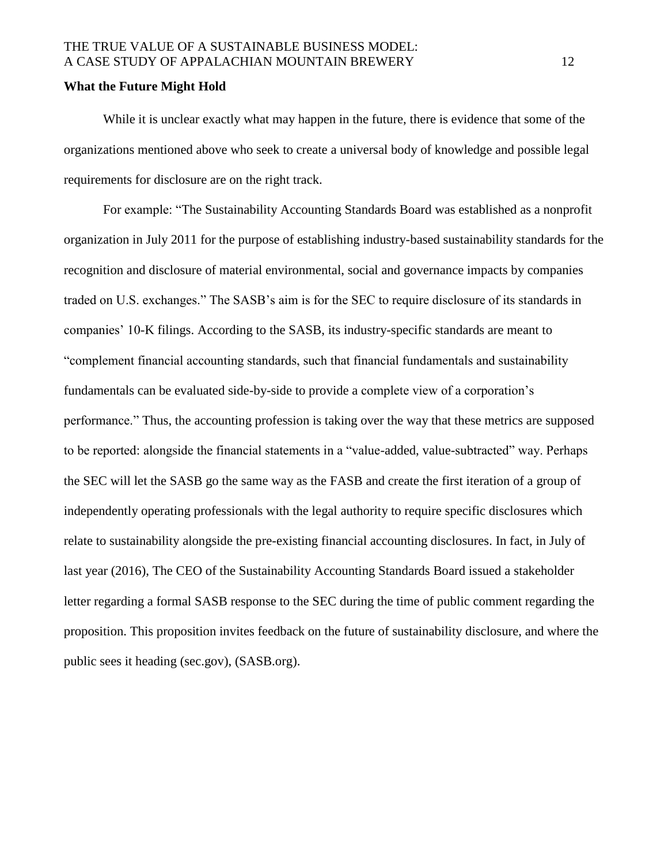#### **What the Future Might Hold**

While it is unclear exactly what may happen in the future, there is evidence that some of the organizations mentioned above who seek to create a universal body of knowledge and possible legal requirements for disclosure are on the right track.

For example: "The Sustainability Accounting Standards Board was established as a nonprofit organization in July 2011 for the purpose of establishing industry-based sustainability standards for the recognition and disclosure of material environmental, social and governance impacts by companies traded on U.S. exchanges." The SASB's aim is for the SEC to require disclosure of its standards in companies' 10-K filings. According to the SASB, its industry-specific standards are meant to "complement financial accounting standards, such that financial fundamentals and sustainability fundamentals can be evaluated side-by-side to provide a complete view of a corporation's performance." Thus, the accounting profession is taking over the way that these metrics are supposed to be reported: alongside the financial statements in a "value-added, value-subtracted" way. Perhaps the SEC will let the SASB go the same way as the FASB and create the first iteration of a group of independently operating professionals with the legal authority to require specific disclosures which relate to sustainability alongside the pre-existing financial accounting disclosures. In fact, in July of last year (2016), The CEO of the Sustainability Accounting Standards Board issued a stakeholder letter regarding a formal SASB response to the SEC during the time of public comment regarding the proposition. This proposition invites feedback on the future of sustainability disclosure, and where the public sees it heading (sec.gov), (SASB.org).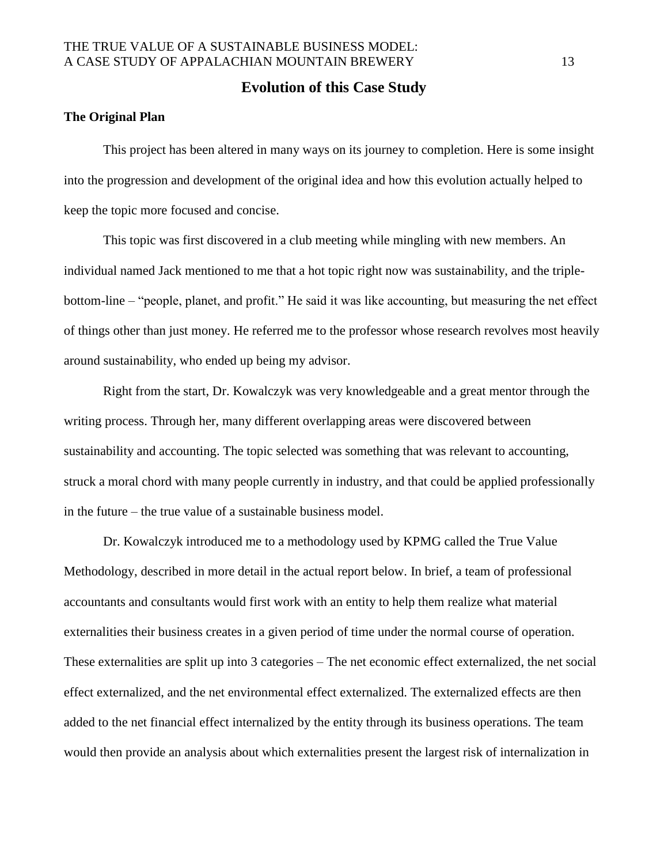### **Evolution of this Case Study**

#### **The Original Plan**

This project has been altered in many ways on its journey to completion. Here is some insight into the progression and development of the original idea and how this evolution actually helped to keep the topic more focused and concise.

This topic was first discovered in a club meeting while mingling with new members. An individual named Jack mentioned to me that a hot topic right now was sustainability, and the triplebottom-line – "people, planet, and profit." He said it was like accounting, but measuring the net effect of things other than just money. He referred me to the professor whose research revolves most heavily around sustainability, who ended up being my advisor.

Right from the start, Dr. Kowalczyk was very knowledgeable and a great mentor through the writing process. Through her, many different overlapping areas were discovered between sustainability and accounting. The topic selected was something that was relevant to accounting, struck a moral chord with many people currently in industry, and that could be applied professionally in the future – the true value of a sustainable business model.

Dr. Kowalczyk introduced me to a methodology used by KPMG called the True Value Methodology, described in more detail in the actual report below. In brief, a team of professional accountants and consultants would first work with an entity to help them realize what material externalities their business creates in a given period of time under the normal course of operation. These externalities are split up into 3 categories – The net economic effect externalized, the net social effect externalized, and the net environmental effect externalized. The externalized effects are then added to the net financial effect internalized by the entity through its business operations. The team would then provide an analysis about which externalities present the largest risk of internalization in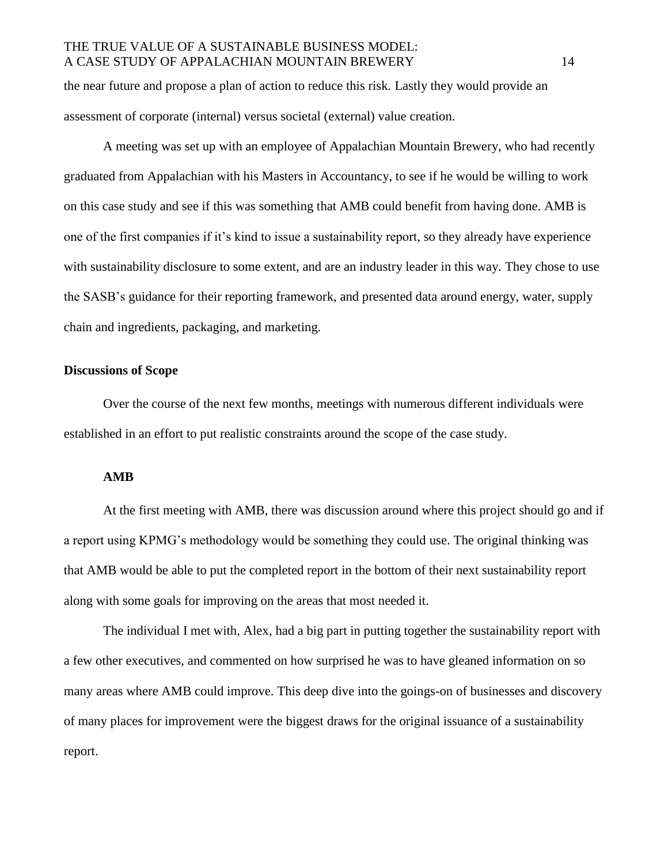the near future and propose a plan of action to reduce this risk. Lastly they would provide an assessment of corporate (internal) versus societal (external) value creation.

A meeting was set up with an employee of Appalachian Mountain Brewery, who had recently graduated from Appalachian with his Masters in Accountancy, to see if he would be willing to work on this case study and see if this was something that AMB could benefit from having done. AMB is one of the first companies if it's kind to issue a sustainability report, so they already have experience with sustainability disclosure to some extent, and are an industry leader in this way. They chose to use the SASB's guidance for their reporting framework, and presented data around energy, water, supply chain and ingredients, packaging, and marketing.

#### **Discussions of Scope**

Over the course of the next few months, meetings with numerous different individuals were established in an effort to put realistic constraints around the scope of the case study.

#### **AMB**

At the first meeting with AMB, there was discussion around where this project should go and if a report using KPMG's methodology would be something they could use. The original thinking was that AMB would be able to put the completed report in the bottom of their next sustainability report along with some goals for improving on the areas that most needed it.

The individual I met with, Alex, had a big part in putting together the sustainability report with a few other executives, and commented on how surprised he was to have gleaned information on so many areas where AMB could improve. This deep dive into the goings-on of businesses and discovery of many places for improvement were the biggest draws for the original issuance of a sustainability report.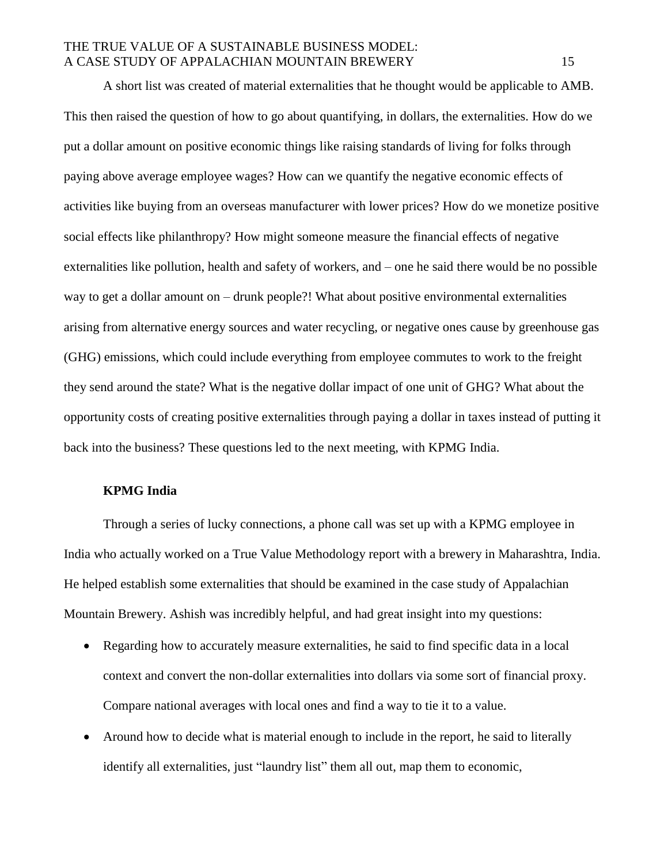A short list was created of material externalities that he thought would be applicable to AMB. This then raised the question of how to go about quantifying, in dollars, the externalities. How do we put a dollar amount on positive economic things like raising standards of living for folks through paying above average employee wages? How can we quantify the negative economic effects of activities like buying from an overseas manufacturer with lower prices? How do we monetize positive social effects like philanthropy? How might someone measure the financial effects of negative externalities like pollution, health and safety of workers, and – one he said there would be no possible way to get a dollar amount on – drunk people?! What about positive environmental externalities arising from alternative energy sources and water recycling, or negative ones cause by greenhouse gas (GHG) emissions, which could include everything from employee commutes to work to the freight they send around the state? What is the negative dollar impact of one unit of GHG? What about the opportunity costs of creating positive externalities through paying a dollar in taxes instead of putting it back into the business? These questions led to the next meeting, with KPMG India.

#### **KPMG India**

Through a series of lucky connections, a phone call was set up with a KPMG employee in India who actually worked on a True Value Methodology report with a brewery in Maharashtra, India. He helped establish some externalities that should be examined in the case study of Appalachian Mountain Brewery. Ashish was incredibly helpful, and had great insight into my questions:

- Regarding how to accurately measure externalities, he said to find specific data in a local context and convert the non-dollar externalities into dollars via some sort of financial proxy. Compare national averages with local ones and find a way to tie it to a value.
- Around how to decide what is material enough to include in the report, he said to literally identify all externalities, just "laundry list" them all out, map them to economic,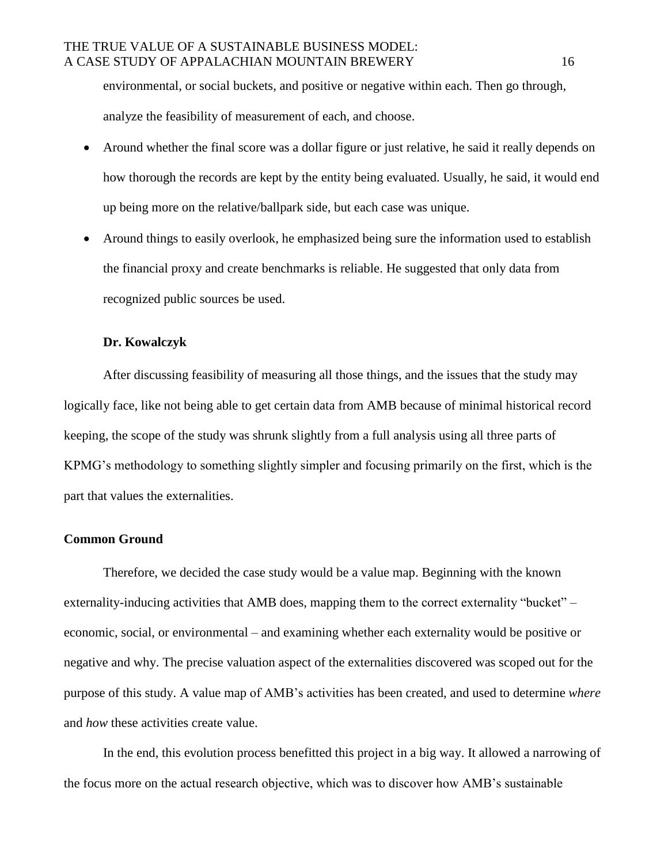environmental, or social buckets, and positive or negative within each. Then go through, analyze the feasibility of measurement of each, and choose.

- Around whether the final score was a dollar figure or just relative, he said it really depends on how thorough the records are kept by the entity being evaluated. Usually, he said, it would end up being more on the relative/ballpark side, but each case was unique.
- Around things to easily overlook, he emphasized being sure the information used to establish the financial proxy and create benchmarks is reliable. He suggested that only data from recognized public sources be used.

### **Dr. Kowalczyk**

After discussing feasibility of measuring all those things, and the issues that the study may logically face, like not being able to get certain data from AMB because of minimal historical record keeping, the scope of the study was shrunk slightly from a full analysis using all three parts of KPMG's methodology to something slightly simpler and focusing primarily on the first, which is the part that values the externalities.

### **Common Ground**

Therefore, we decided the case study would be a value map. Beginning with the known externality-inducing activities that AMB does, mapping them to the correct externality "bucket" – economic, social, or environmental – and examining whether each externality would be positive or negative and why. The precise valuation aspect of the externalities discovered was scoped out for the purpose of this study. A value map of AMB's activities has been created, and used to determine *where*  and *how* these activities create value.

In the end, this evolution process benefitted this project in a big way. It allowed a narrowing of the focus more on the actual research objective, which was to discover how AMB's sustainable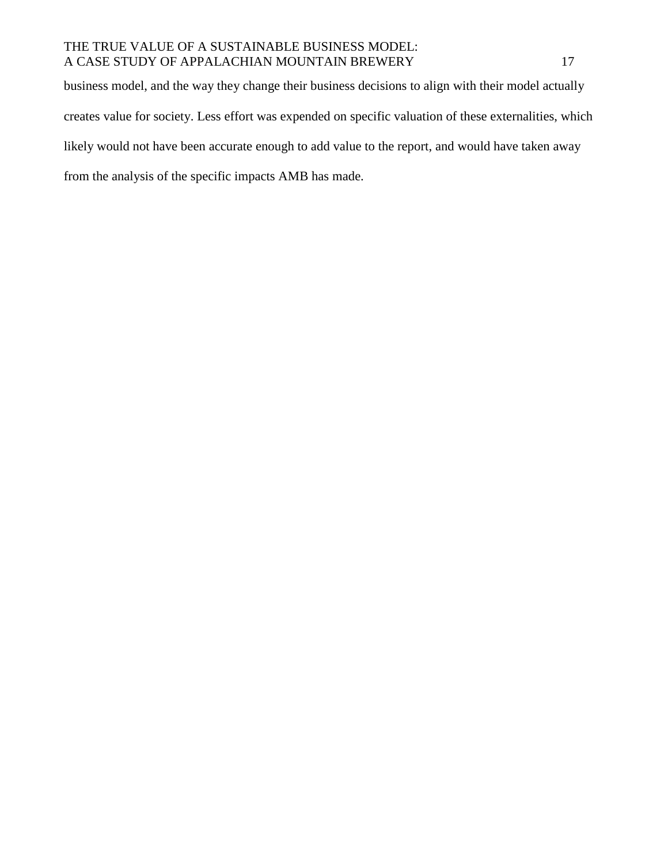business model, and the way they change their business decisions to align with their model actually creates value for society. Less effort was expended on specific valuation of these externalities, which likely would not have been accurate enough to add value to the report, and would have taken away from the analysis of the specific impacts AMB has made.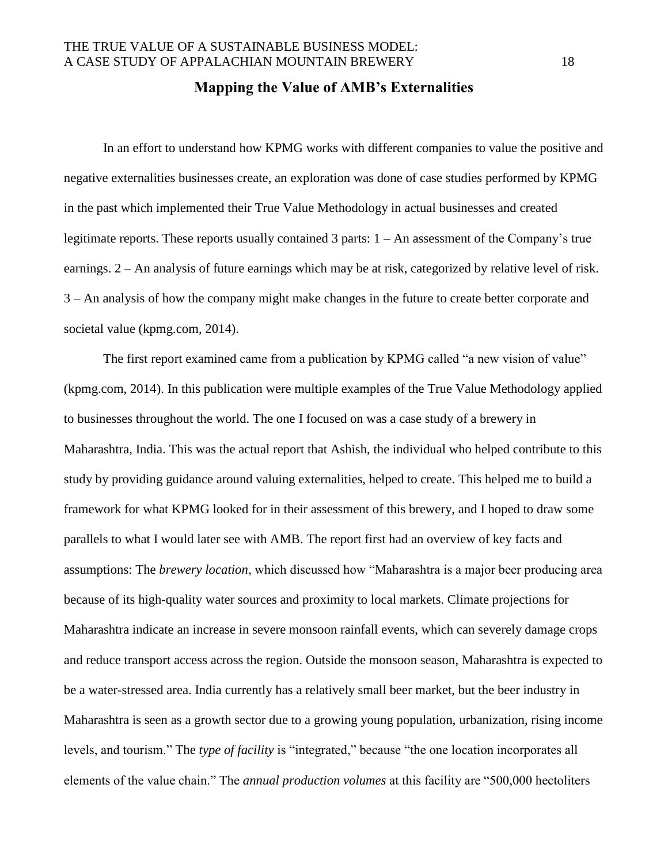### **Mapping the Value of AMB's Externalities**

In an effort to understand how KPMG works with different companies to value the positive and negative externalities businesses create, an exploration was done of case studies performed by KPMG in the past which implemented their True Value Methodology in actual businesses and created legitimate reports. These reports usually contained 3 parts: 1 – An assessment of the Company's true earnings. 2 – An analysis of future earnings which may be at risk, categorized by relative level of risk. 3 – An analysis of how the company might make changes in the future to create better corporate and societal value (kpmg.com, 2014).

The first report examined came from a publication by KPMG called "a new vision of value" (kpmg.com, 2014). In this publication were multiple examples of the True Value Methodology applied to businesses throughout the world. The one I focused on was a case study of a brewery in Maharashtra, India. This was the actual report that Ashish, the individual who helped contribute to this study by providing guidance around valuing externalities, helped to create. This helped me to build a framework for what KPMG looked for in their assessment of this brewery, and I hoped to draw some parallels to what I would later see with AMB. The report first had an overview of key facts and assumptions: The *brewery location*, which discussed how "Maharashtra is a major beer producing area because of its high-quality water sources and proximity to local markets. Climate projections for Maharashtra indicate an increase in severe monsoon rainfall events, which can severely damage crops and reduce transport access across the region. Outside the monsoon season, Maharashtra is expected to be a water-stressed area. India currently has a relatively small beer market, but the beer industry in Maharashtra is seen as a growth sector due to a growing young population, urbanization, rising income levels, and tourism." The *type of facility* is "integrated," because "the one location incorporates all elements of the value chain." The *annual production volumes* at this facility are "500,000 hectoliters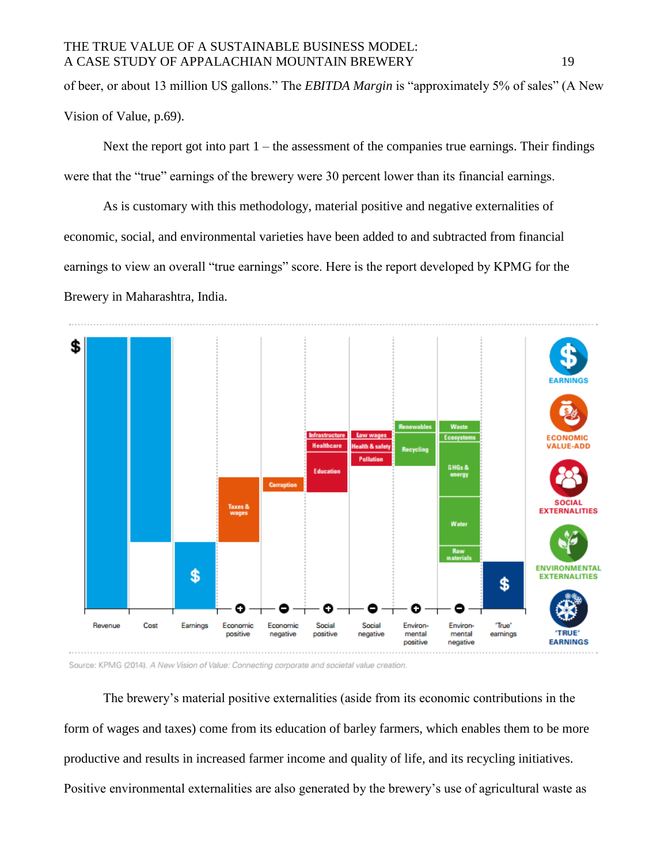of beer, or about 13 million US gallons." The *EBITDA Margin* is "approximately 5% of sales" (A New Vision of Value, p.69).

Next the report got into part  $1 -$  the assessment of the companies true earnings. Their findings were that the "true" earnings of the brewery were 30 percent lower than its financial earnings.

As is customary with this methodology, material positive and negative externalities of economic, social, and environmental varieties have been added to and subtracted from financial earnings to view an overall "true earnings" score. Here is the report developed by KPMG for the Brewery in Maharashtra, India.



Source: KPMG (2014). A New Vision of Value: Connecting corporate and societal value creation.

The brewery's material positive externalities (aside from its economic contributions in the form of wages and taxes) come from its education of barley farmers, which enables them to be more productive and results in increased farmer income and quality of life, and its recycling initiatives. Positive environmental externalities are also generated by the brewery's use of agricultural waste as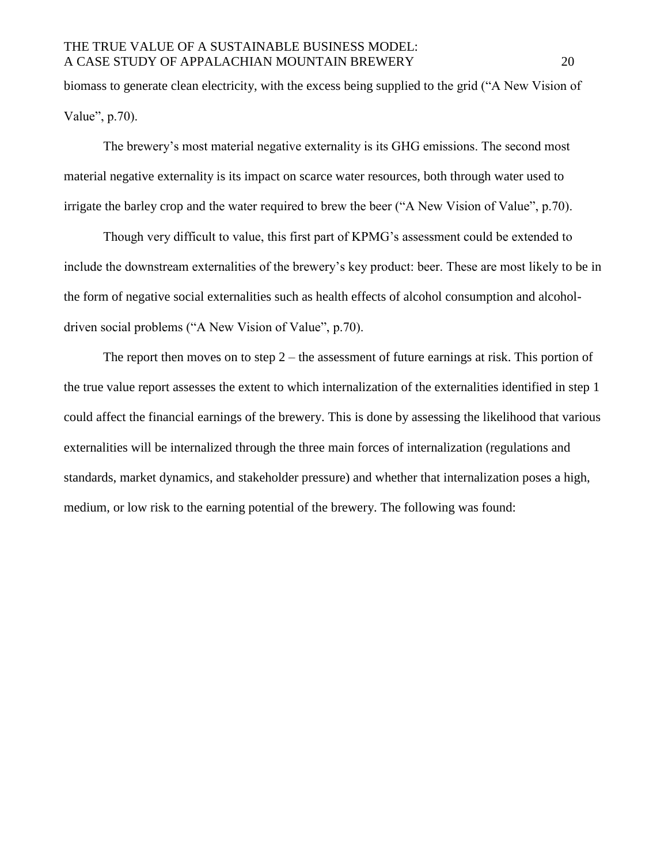biomass to generate clean electricity, with the excess being supplied to the grid ("A New Vision of Value", p.70).

The brewery's most material negative externality is its GHG emissions. The second most material negative externality is its impact on scarce water resources, both through water used to irrigate the barley crop and the water required to brew the beer ("A New Vision of Value", p.70).

Though very difficult to value, this first part of KPMG's assessment could be extended to include the downstream externalities of the brewery's key product: beer. These are most likely to be in the form of negative social externalities such as health effects of alcohol consumption and alcoholdriven social problems ("A New Vision of Value", p.70).

The report then moves on to step  $2$  – the assessment of future earnings at risk. This portion of the true value report assesses the extent to which internalization of the externalities identified in step 1 could affect the financial earnings of the brewery. This is done by assessing the likelihood that various externalities will be internalized through the three main forces of internalization (regulations and standards, market dynamics, and stakeholder pressure) and whether that internalization poses a high, medium, or low risk to the earning potential of the brewery. The following was found: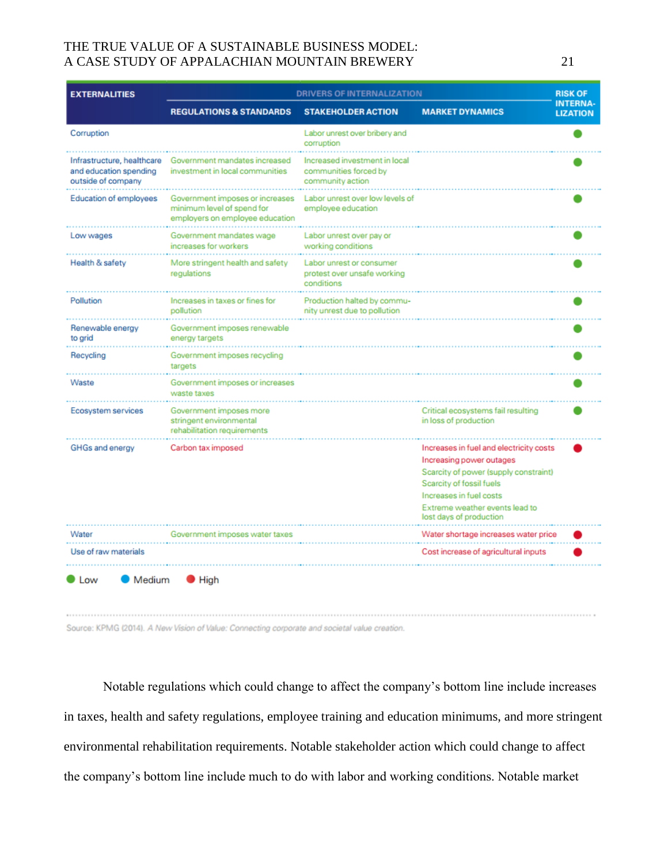| <b>EXTERNALITIES</b>                                                       | <b>DRIVERS OF INTERNALIZATION</b>                                                                |                                                                            | <b>RISK OF</b>                                                                                                                                                                                                                   |                                    |
|----------------------------------------------------------------------------|--------------------------------------------------------------------------------------------------|----------------------------------------------------------------------------|----------------------------------------------------------------------------------------------------------------------------------------------------------------------------------------------------------------------------------|------------------------------------|
|                                                                            | <b>REGULATIONS &amp; STANDARDS</b>                                                               | <b>STAKEHOLDER ACTION</b>                                                  | <b>MARKET DYNAMICS</b>                                                                                                                                                                                                           | <b>INTERNA-</b><br><b>LIZATION</b> |
| Corruption                                                                 |                                                                                                  | Labor unrest over bribery and<br>corruption                                |                                                                                                                                                                                                                                  |                                    |
| Infrastructure, healthcare<br>and education spending<br>outside of company | Government mandates increased<br>investment in local communities                                 | Increased investment in local<br>communities forced by<br>community action |                                                                                                                                                                                                                                  |                                    |
| <b>Education of employees</b>                                              | Government imposes or increases<br>minimum level of spend for<br>employers on employee education | Labor unrest over low levels of<br>employee education                      |                                                                                                                                                                                                                                  |                                    |
| Low wages                                                                  | Government mandates wage<br>increases for workers                                                | Labor unrest over pay or<br>working conditions                             |                                                                                                                                                                                                                                  |                                    |
| Health & safety                                                            | More stringent health and safety<br>regulations                                                  | Labor unrest or consumer<br>protest over unsafe working<br>conditions      |                                                                                                                                                                                                                                  |                                    |
| Pollution                                                                  | Increases in taxes or fines for<br>pollution                                                     | Production halted by commu-<br>nity unrest due to pollution                |                                                                                                                                                                                                                                  |                                    |
| Renewable energy<br>to grid                                                | Government imposes renewable<br>energy targets                                                   |                                                                            |                                                                                                                                                                                                                                  |                                    |
| Recycling                                                                  | Government imposes recycling<br>targets                                                          |                                                                            |                                                                                                                                                                                                                                  |                                    |
| Waste                                                                      | Government imposes or increases<br>waste taxes                                                   |                                                                            |                                                                                                                                                                                                                                  |                                    |
| Ecosystem services                                                         | Government imposes more<br>stringent environmental<br>rehabilitation requirements                |                                                                            | Critical ecosystems fail resulting<br>in loss of production                                                                                                                                                                      |                                    |
| GHGs and energy                                                            | Carbon tax imposed                                                                               |                                                                            | Increases in fuel and electricity costs<br>Increasing power outages<br>Scarcity of power (supply constraint)<br>Scarcity of fossil fuels<br>Increases in fuel costs<br>Extreme weather events lead to<br>lost days of production |                                    |
| Water                                                                      | Government imposes water taxes                                                                   |                                                                            | Water shortage increases water price                                                                                                                                                                                             |                                    |
| Use of raw materials                                                       |                                                                                                  |                                                                            | Cost increase of agricultural inputs                                                                                                                                                                                             |                                    |
| <b>Medium</b><br>I ow                                                      | High                                                                                             |                                                                            |                                                                                                                                                                                                                                  |                                    |

Source: KPMG (2014). A New Vision of Value: Connecting corporate and societal value creation.

Notable regulations which could change to affect the company's bottom line include increases in taxes, health and safety regulations, employee training and education minimums, and more stringent environmental rehabilitation requirements. Notable stakeholder action which could change to affect the company's bottom line include much to do with labor and working conditions. Notable market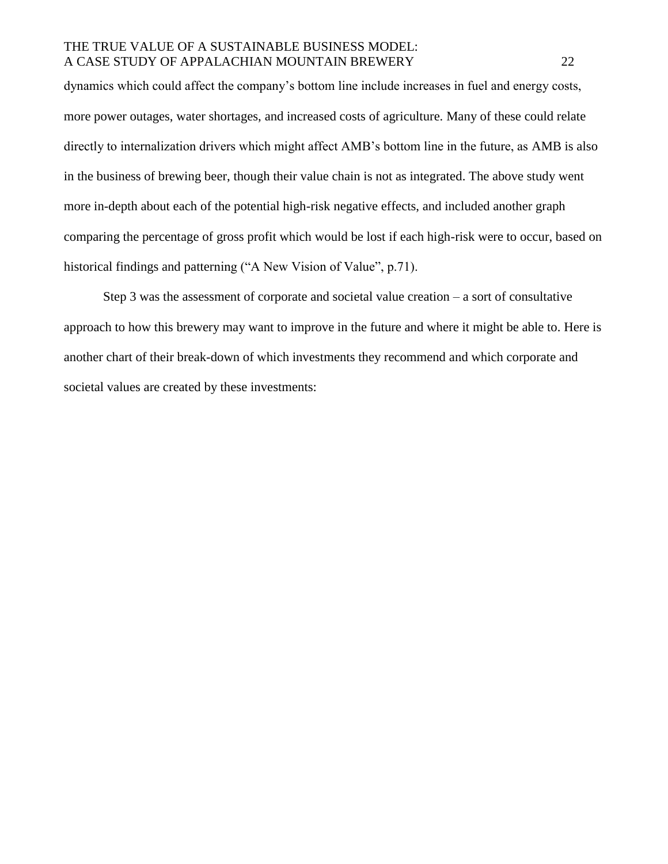dynamics which could affect the company's bottom line include increases in fuel and energy costs, more power outages, water shortages, and increased costs of agriculture. Many of these could relate directly to internalization drivers which might affect AMB's bottom line in the future, as AMB is also in the business of brewing beer, though their value chain is not as integrated. The above study went more in-depth about each of the potential high-risk negative effects, and included another graph comparing the percentage of gross profit which would be lost if each high-risk were to occur, based on historical findings and patterning ("A New Vision of Value", p.71).

Step 3 was the assessment of corporate and societal value creation  $-$  a sort of consultative approach to how this brewery may want to improve in the future and where it might be able to. Here is another chart of their break-down of which investments they recommend and which corporate and societal values are created by these investments: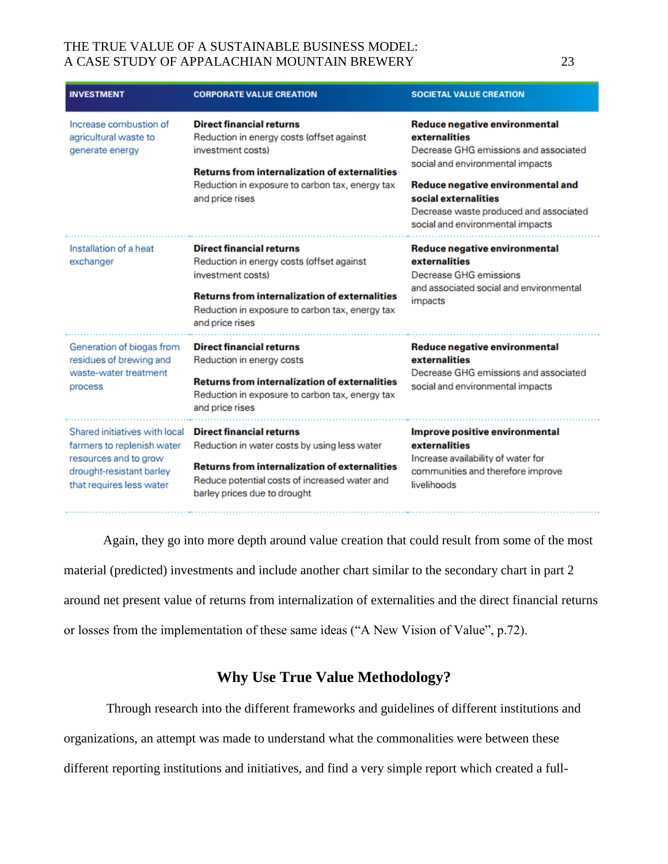| <b>INVESTMENT</b>                                                                                                                            | <b>CORPORATE VALUE CREATION</b>                                                                                                                                                                                                 | <b>SOCIETAL VALUE CREATION</b>                                                                                                                                                                                                                                         |
|----------------------------------------------------------------------------------------------------------------------------------------------|---------------------------------------------------------------------------------------------------------------------------------------------------------------------------------------------------------------------------------|------------------------------------------------------------------------------------------------------------------------------------------------------------------------------------------------------------------------------------------------------------------------|
| Increase combustion of<br>agricultural waste to<br>generate energy                                                                           | <b>Direct financial returns</b><br>Reduction in energy costs (offset against<br>investment costs)<br><b>Returns from internalization of externalities</b><br>Reduction in exposure to carbon tax, energy tax<br>and price rises | Reduce negative environmental<br>externalities<br>Decrease GHG emissions and associated<br>social and environmental impacts<br>Reduce negative environmental and<br>social externalities<br>Decrease waste produced and associated<br>social and environmental impacts |
| Installation of a heat<br>exchanger                                                                                                          | <b>Direct financial returns</b><br>Reduction in energy costs (offset against<br>investment costs)<br><b>Returns from internalization of externalities</b><br>Reduction in exposure to carbon tax, energy tax<br>and price rises | Reduce negative environmental<br>externalities<br>Decrease GHG emissions<br>and associated social and environmental<br>impacts                                                                                                                                         |
| Generation of biogas from<br>residues of brewing and<br>waste-water treatment<br>process                                                     | <b>Direct financial returns</b><br>Reduction in energy costs<br><b>Returns from internalization of externalities</b><br>Reduction in exposure to carbon tax, energy tax<br>and price rises                                      | Reduce negative environmental<br>externalities<br>Decrease GHG emissions and associated<br>social and environmental impacts                                                                                                                                            |
| Shared initiatives with local<br>farmers to replenish water<br>resources and to grow<br>drought-resistant barley<br>that requires less water | <b>Direct financial returns</b><br>Reduction in water costs by using less water<br><b>Returns from internalization of externalities</b><br>Reduce potential costs of increased water and<br>barley prices due to drought        | Improve positive environmental<br>externalities<br>Increase availability of water for<br>communities and therefore improve<br>livelihoods                                                                                                                              |

Again, they go into more depth around value creation that could result from some of the most material (predicted) investments and include another chart similar to the secondary chart in part 2 around net present value of returns from internalization of externalities and the direct financial returns or losses from the implementation of these same ideas ("A New Vision of Value", p.72).

# **Why Use True Value Methodology?**

Through research into the different frameworks and guidelines of different institutions and organizations, an attempt was made to understand what the commonalities were between these different reporting institutions and initiatives, and find a very simple report which created a full-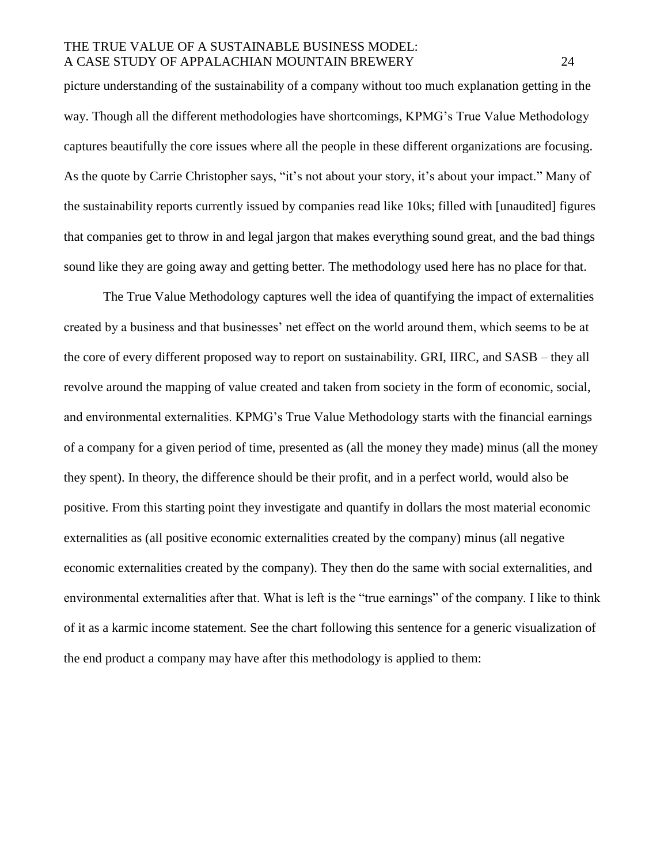picture understanding of the sustainability of a company without too much explanation getting in the way. Though all the different methodologies have shortcomings, KPMG's True Value Methodology captures beautifully the core issues where all the people in these different organizations are focusing. As the quote by Carrie Christopher says, "it's not about your story, it's about your impact." Many of the sustainability reports currently issued by companies read like 10ks; filled with [unaudited] figures that companies get to throw in and legal jargon that makes everything sound great, and the bad things sound like they are going away and getting better. The methodology used here has no place for that.

The True Value Methodology captures well the idea of quantifying the impact of externalities created by a business and that businesses' net effect on the world around them, which seems to be at the core of every different proposed way to report on sustainability. GRI, IIRC, and SASB – they all revolve around the mapping of value created and taken from society in the form of economic, social, and environmental externalities. KPMG's True Value Methodology starts with the financial earnings of a company for a given period of time, presented as (all the money they made) minus (all the money they spent). In theory, the difference should be their profit, and in a perfect world, would also be positive. From this starting point they investigate and quantify in dollars the most material economic externalities as (all positive economic externalities created by the company) minus (all negative economic externalities created by the company). They then do the same with social externalities, and environmental externalities after that. What is left is the "true earnings" of the company. I like to think of it as a karmic income statement. See the chart following this sentence for a generic visualization of the end product a company may have after this methodology is applied to them: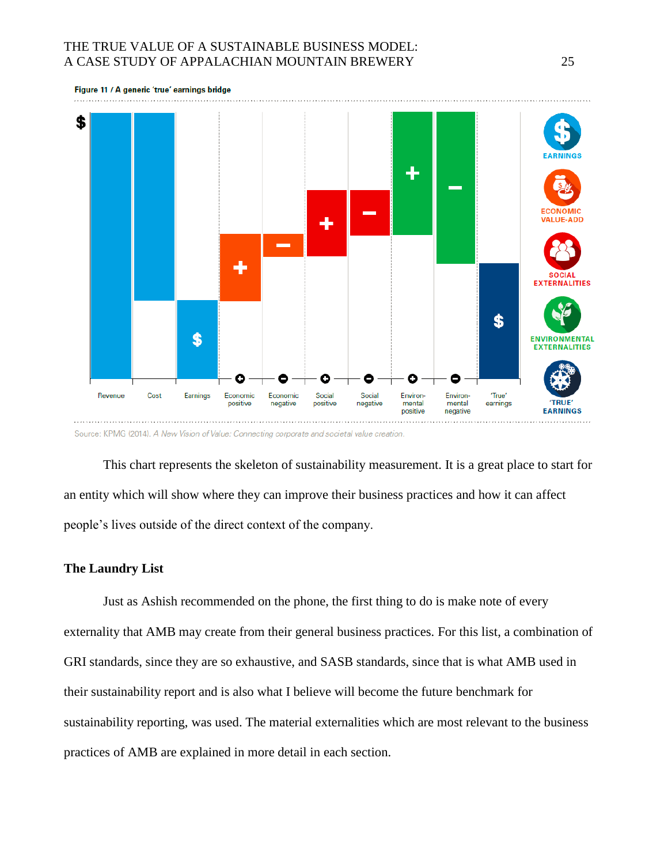

This chart represents the skeleton of sustainability measurement. It is a great place to start for an entity which will show where they can improve their business practices and how it can affect people's lives outside of the direct context of the company.

#### **The Laundry List**

Just as Ashish recommended on the phone, the first thing to do is make note of every externality that AMB may create from their general business practices. For this list, a combination of GRI standards, since they are so exhaustive, and SASB standards, since that is what AMB used in their sustainability report and is also what I believe will become the future benchmark for sustainability reporting, was used. The material externalities which are most relevant to the business practices of AMB are explained in more detail in each section.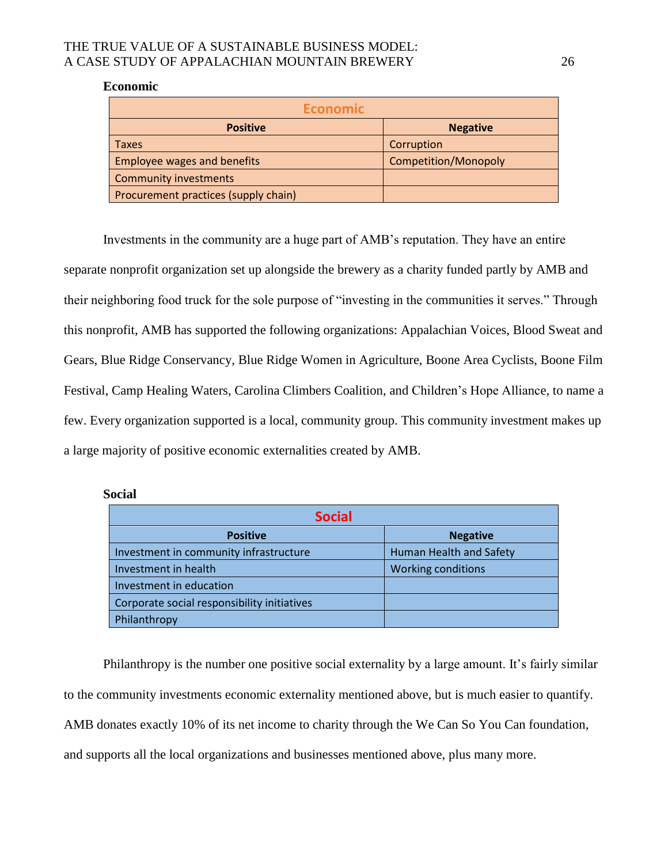#### **Economic**

| <b>Economic</b>                      |                      |  |
|--------------------------------------|----------------------|--|
| <b>Positive</b>                      | <b>Negative</b>      |  |
| <b>Taxes</b>                         | Corruption           |  |
| <b>Employee wages and benefits</b>   | Competition/Monopoly |  |
| <b>Community investments</b>         |                      |  |
| Procurement practices (supply chain) |                      |  |

Investments in the community are a huge part of AMB's reputation. They have an entire separate nonprofit organization set up alongside the brewery as a charity funded partly by AMB and their neighboring food truck for the sole purpose of "investing in the communities it serves." Through this nonprofit, AMB has supported the following organizations: Appalachian Voices, Blood Sweat and Gears, Blue Ridge Conservancy, Blue Ridge Women in Agriculture, Boone Area Cyclists, Boone Film Festival, Camp Healing Waters, Carolina Climbers Coalition, and Children's Hope Alliance, to name a few. Every organization supported is a local, community group. This community investment makes up a large majority of positive economic externalities created by AMB.

#### **Social**

| <b>Social</b>                               |                                |  |
|---------------------------------------------|--------------------------------|--|
| <b>Positive</b>                             | <b>Negative</b>                |  |
| Investment in community infrastructure      | <b>Human Health and Safety</b> |  |
| Investment in health                        | <b>Working conditions</b>      |  |
| Investment in education                     |                                |  |
| Corporate social responsibility initiatives |                                |  |
| Philanthropy                                |                                |  |

Philanthropy is the number one positive social externality by a large amount. It's fairly similar to the community investments economic externality mentioned above, but is much easier to quantify. AMB donates exactly 10% of its net income to charity through the We Can So You Can foundation, and supports all the local organizations and businesses mentioned above, plus many more.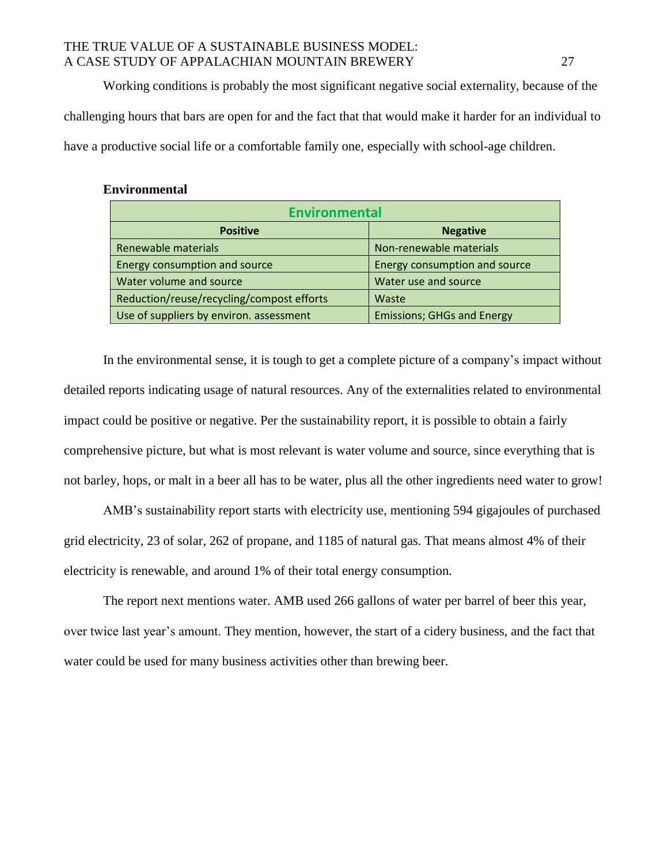Working conditions is probably the most significant negative social externality, because of the challenging hours that bars are open for and the fact that that would make it harder for an individual to have a productive social life or a comfortable family one, especially with school-age children.

| <b>Environmental</b>                      |                                   |  |
|-------------------------------------------|-----------------------------------|--|
| <b>Positive</b>                           | <b>Negative</b>                   |  |
| Renewable materials                       | Non-renewable materials           |  |
| Energy consumption and source             | Energy consumption and source     |  |
| Water volume and source                   | Water use and source              |  |
| Reduction/reuse/recycling/compost efforts | Waste                             |  |
| Use of suppliers by environ. assessment   | <b>Emissions; GHGs and Energy</b> |  |

#### **Environmental**

In the environmental sense, it is tough to get a complete picture of a company's impact without detailed reports indicating usage of natural resources. Any of the externalities related to environmental impact could be positive or negative. Per the sustainability report, it is possible to obtain a fairly comprehensive picture, but what is most relevant is water volume and source, since everything that is not barley, hops, or malt in a beer all has to be water, plus all the other ingredients need water to grow!

AMB's sustainability report starts with electricity use, mentioning 594 gigajoules of purchased grid electricity, 23 of solar, 262 of propane, and 1185 of natural gas. That means almost 4% of their electricity is renewable, and around 1% of their total energy consumption.

The report next mentions water. AMB used 266 gallons of water per barrel of beer this year, over twice last year's amount. They mention, however, the start of a cidery business, and the fact that water could be used for many business activities other than brewing beer.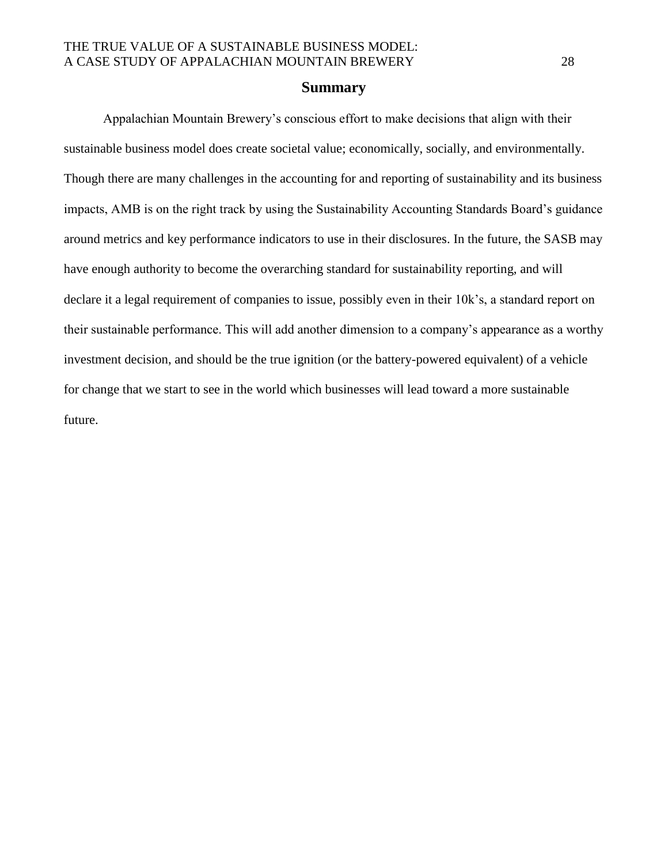#### **Summary**

Appalachian Mountain Brewery's conscious effort to make decisions that align with their sustainable business model does create societal value; economically, socially, and environmentally. Though there are many challenges in the accounting for and reporting of sustainability and its business impacts, AMB is on the right track by using the Sustainability Accounting Standards Board's guidance around metrics and key performance indicators to use in their disclosures. In the future, the SASB may have enough authority to become the overarching standard for sustainability reporting, and will declare it a legal requirement of companies to issue, possibly even in their 10k's, a standard report on their sustainable performance. This will add another dimension to a company's appearance as a worthy investment decision, and should be the true ignition (or the battery-powered equivalent) of a vehicle for change that we start to see in the world which businesses will lead toward a more sustainable future.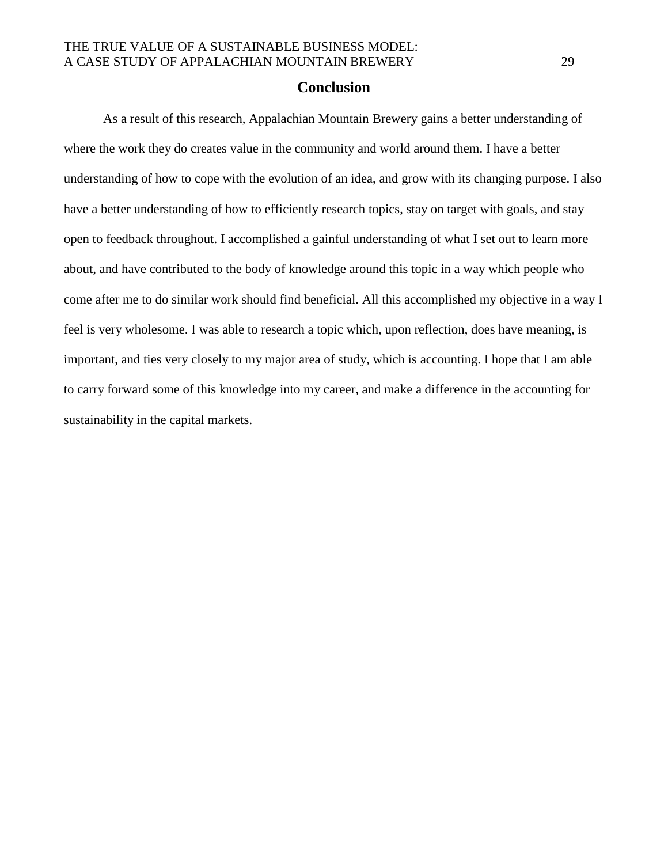### **Conclusion**

As a result of this research, Appalachian Mountain Brewery gains a better understanding of where the work they do creates value in the community and world around them. I have a better understanding of how to cope with the evolution of an idea, and grow with its changing purpose. I also have a better understanding of how to efficiently research topics, stay on target with goals, and stay open to feedback throughout. I accomplished a gainful understanding of what I set out to learn more about, and have contributed to the body of knowledge around this topic in a way which people who come after me to do similar work should find beneficial. All this accomplished my objective in a way I feel is very wholesome. I was able to research a topic which, upon reflection, does have meaning, is important, and ties very closely to my major area of study, which is accounting. I hope that I am able to carry forward some of this knowledge into my career, and make a difference in the accounting for sustainability in the capital markets.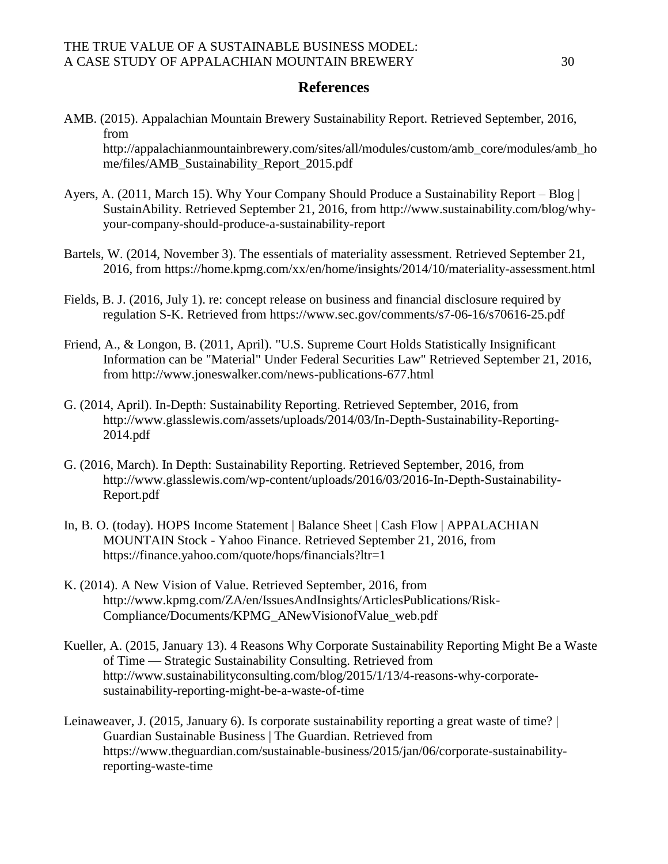# **References**

- AMB. (2015). Appalachian Mountain Brewery Sustainability Report. Retrieved September, 2016, from http://appalachianmountainbrewery.com/sites/all/modules/custom/amb\_core/modules/amb\_ho me/files/AMB\_Sustainability\_Report\_2015.pdf
- Ayers, A. (2011, March 15). Why Your Company Should Produce a Sustainability Report Blog | SustainAbility. Retrieved September 21, 2016, from http://www.sustainability.com/blog/whyyour-company-should-produce-a-sustainability-report
- Bartels, W. (2014, November 3). The essentials of materiality assessment. Retrieved September 21, 2016, from https://home.kpmg.com/xx/en/home/insights/2014/10/materiality-assessment.html
- Fields, B. J. (2016, July 1). re: concept release on business and financial disclosure required by regulation S-K. Retrieved from https://www.sec.gov/comments/s7-06-16/s70616-25.pdf
- Friend, A., & Longon, B. (2011, April). "U.S. Supreme Court Holds Statistically Insignificant Information can be "Material" Under Federal Securities Law" Retrieved September 21, 2016, from http://www.joneswalker.com/news-publications-677.html
- G. (2014, April). In-Depth: Sustainability Reporting. Retrieved September, 2016, from http://www.glasslewis.com/assets/uploads/2014/03/In-Depth-Sustainability-Reporting-2014.pdf
- G. (2016, March). In Depth: Sustainability Reporting. Retrieved September, 2016, from http://www.glasslewis.com/wp-content/uploads/2016/03/2016-In-Depth-Sustainability-Report.pdf
- In, B. O. (today). HOPS Income Statement | Balance Sheet | Cash Flow | APPALACHIAN MOUNTAIN Stock - Yahoo Finance. Retrieved September 21, 2016, from https://finance.yahoo.com/quote/hops/financials?ltr=1
- K. (2014). A New Vision of Value. Retrieved September, 2016, from http://www.kpmg.com/ZA/en/IssuesAndInsights/ArticlesPublications/Risk-Compliance/Documents/KPMG\_ANewVisionofValue\_web.pdf
- Kueller, A. (2015, January 13). 4 Reasons Why Corporate Sustainability Reporting Might Be a Waste of Time — Strategic Sustainability Consulting. Retrieved from http://www.sustainabilityconsulting.com/blog/2015/1/13/4-reasons-why-corporatesustainability-reporting-might-be-a-waste-of-time
- Leinaweaver, J. (2015, January 6). Is corporate sustainability reporting a great waste of time? | Guardian Sustainable Business | The Guardian. Retrieved from https://www.theguardian.com/sustainable-business/2015/jan/06/corporate-sustainabilityreporting-waste-time